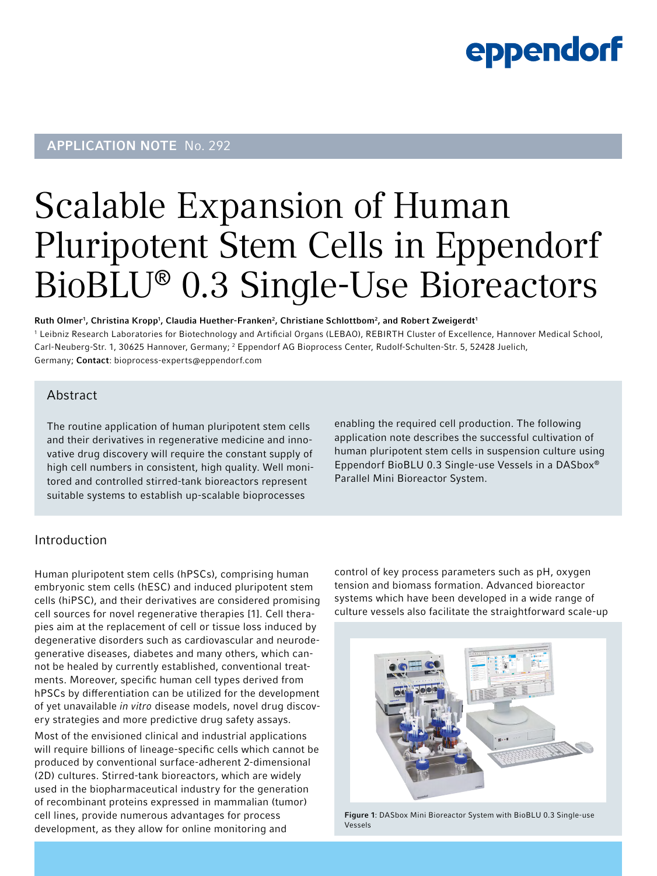### eppendorf

### **APPLICATION NOTE No. 292**

# Scalable Expansion of Human Pluripotent Stem Cells in Eppendorf BioBLU® 0.3 Single-Use Bioreactors

Ruth Olmer<sup>1</sup>, Christina Kropp<sup>1</sup>, Claudia Huether-Franken<sup>2</sup>, Christiane Schlottbom<sup>2</sup>, and Robert Zweigerdt<sup>1</sup> 1 Leibniz Research Laboratories for Biotechnology and Artificial Organs (LEBAO), REBIRTH Cluster of Excellence, Hannover Medical School, Carl-Neuberg-Str. 1, 30625 Hannover, Germany; <sup>2</sup> Eppendorf AG Bioprocess Center, Rudolf-Schulten-Str. 5, 52428 Juelich, Germany; Contact: bioprocess-experts[@eppendorf.com](mailto:schlottbom.c%40eppendorf.com?subject=)

#### Abstract

The routine application of human pluripotent stem cells and their derivatives in regenerative medicine and innovative drug discovery will require the constant supply of high cell numbers in consistent, high quality. Well monitored and controlled stirred-tank bioreactors represent suitable systems to establish up-scalable bioprocesses

enabling the required cell production. The following application note describes the successful cultivation of human pluripotent stem cells in suspension culture using Eppendorf BioBLU 0.3 Single-use Vessels in a DASbox® Parallel Mini Bioreactor System.

### Introduction

Human pluripotent stem cells (hPSCs), comprising human embryonic stem cells (hESC) and induced pluripotent stem cells (hiPSC), and their derivatives are considered promising cell sources for novel regenerative therapies [1]. Cell therapies aim at the replacement of cell or tissue loss induced by degenerative disorders such as cardiovascular and neurodegenerative diseases, diabetes and many others, which cannot be healed by currently established, conventional treatments. Moreover, specific human cell types derived from hPSCs by differentiation can be utilized for the development of yet unavailable *in vitro* disease models, novel drug discovery strategies and more predictive drug safety assays.

Most of the envisioned clinical and industrial applications will require billions of lineage-specific cells which cannot be produced by conventional surface-adherent 2-dimensional (2D) cultures. Stirred-tank bioreactors, which are widely used in the biopharmaceutical industry for the generation of recombinant proteins expressed in mammalian (tumor) cell lines, provide numerous advantages for process development, as they allow for online monitoring and

control of key process parameters such as pH, oxygen tension and biomass formation. Advanced bioreactor systems which have been developed in a wide range of culture vessels also facilitate the straightforward scale-up



Figure 1: DASbox Mini Bioreactor System with BioBLU 0.3 Single-use Vessels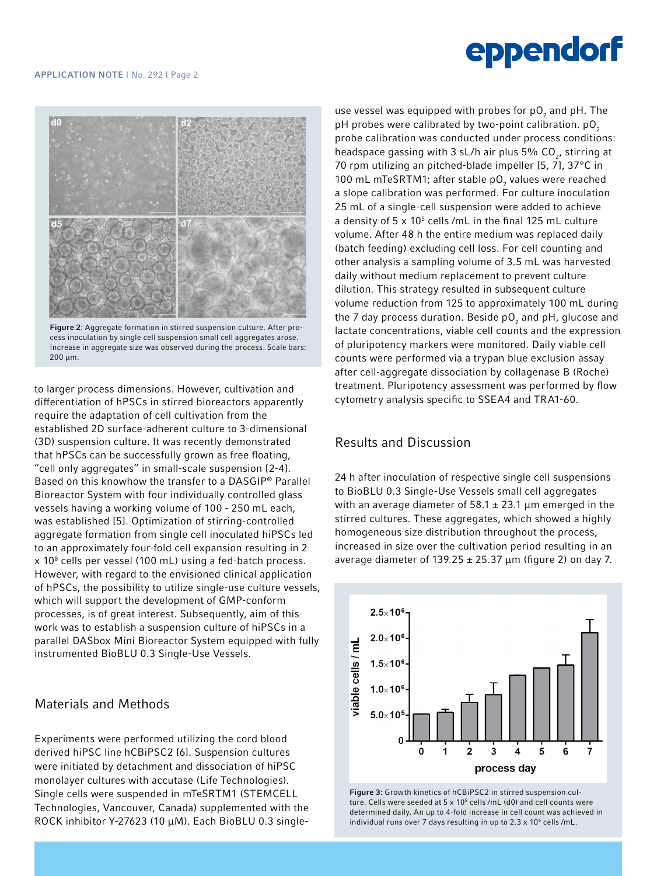#### APPLICATION NOTE I No. 292 I Page 2

## eppendorf



Figure 2: Aggregate formation in stirred suspension culture. After process inoculation by single cell suspension small cell aggregates arose. Increase in aggregate size was observed during the process. Scale bars: 200 µm.

to larger process dimensions. However, cultivation and differentiation of hPSCs in stirred bioreactors apparently require the adaptation of cell cultivation from the established 2D surface-adherent culture to 3-dimensional (3D) suspension culture. It was recently demonstrated that hPSCs can be successfully grown as free floating, "cell only aggregates" in small-scale suspension [2-4]. Based on this knowhow the transfer to a DASGIP® Parallel Bioreactor System with four individually controlled glass vessels having a working volume of 100 - 250 mL each, was established [5]. Optimization of stirring-controlled aggregate formation from single cell inoculated hiPSCs led to an approximately four-fold cell expansion resulting in 2 x 108 cells per vessel (100 mL) using a fed-batch process. However, with regard to the envisioned clinical application of hPSCs, the possibility to utilize single-use culture vessels, which will support the development of GMP-conform processes, is of great interest. Subsequently, aim of this work was to establish a suspension culture of hiPSCs in a parallel DASbox Mini Bioreactor System equipped with fully instrumented BioBLU 0.3 Single-Use Vessels.

#### Materials and Methods

Experiments were performed utilizing the cord blood derived hiPSC line hCBiPSC2 [6]. Suspension cultures were initiated by detachment and dissociation of hiPSC monolayer cultures with accutase (Life Technologies). Single cells were suspended in mTeSRTM1 (STEMCELL Technologies, Vancouver, Canada) supplemented with the ROCK inhibitor Y-27623 (10 µM). Each BioBLU 0.3 singleuse vessel was equipped with probes for p $\mathsf{O}_2$  and pH. The pH probes were calibrated by two-point calibration.  $pO<sub>2</sub>$ probe calibration was conducted under process conditions: headspace gassing with 3 sL/h air plus 5%  $CO<sub>2</sub>$ , stirring at 70 rpm utilizing an pitched-blade impeller [5, 7], 37°C in 100 mL mTeSRTM1; after stable p $O_2$  values were reached a slope calibration was performed. For culture inoculation 25 mL of a single-cell suspension were added to achieve a density of  $5 \times 10^5$  cells /mL in the final 125 mL culture volume. After 48 h the entire medium was replaced daily (batch feeding) excluding cell loss. For cell counting and other analysis a sampling volume of 3.5 mL was harvested daily without medium replacement to prevent culture dilution. This strategy resulted in subsequent culture volume reduction from 125 to approximately 100 mL during the 7 day process duration. Beside p $\mathsf{O}_2$  and pH, glucose and lactate concentrations, viable cell counts and the expression of pluripotency markers were monitored. Daily viable cell counts were performed via a trypan blue exclusion assay after cell-aggregate dissociation by collagenase B (Roche) treatment. Pluripotency assessment was performed by flow cytometry analysis specific to SSEA4 and TRA1-60.

### Results and Discussion

24 h after inoculation of respective single cell suspensions to BioBLU 0.3 Single-Use Vessels small cell aggregates with an average diameter of  $58.1 \pm 23.1$  µm emerged in the stirred cultures. These aggregates, which showed a highly homogeneous size distribution throughout the process, increased in size over the cultivation period resulting in an average diameter of  $139.25 \pm 25.37 \,\mu m$  (figure 2) on day 7.



Figure 3: Growth kinetics of hCBiPSC2 in stirred suspension culture. Cells were seeded at  $5 \times 10^5$  cells /mL (d0) and cell counts were determined daily. An up to 4-fold increase in cell count was achieved in individual runs over 7 days resulting in up to 2.3 x 10<sup>6</sup> cells /mL.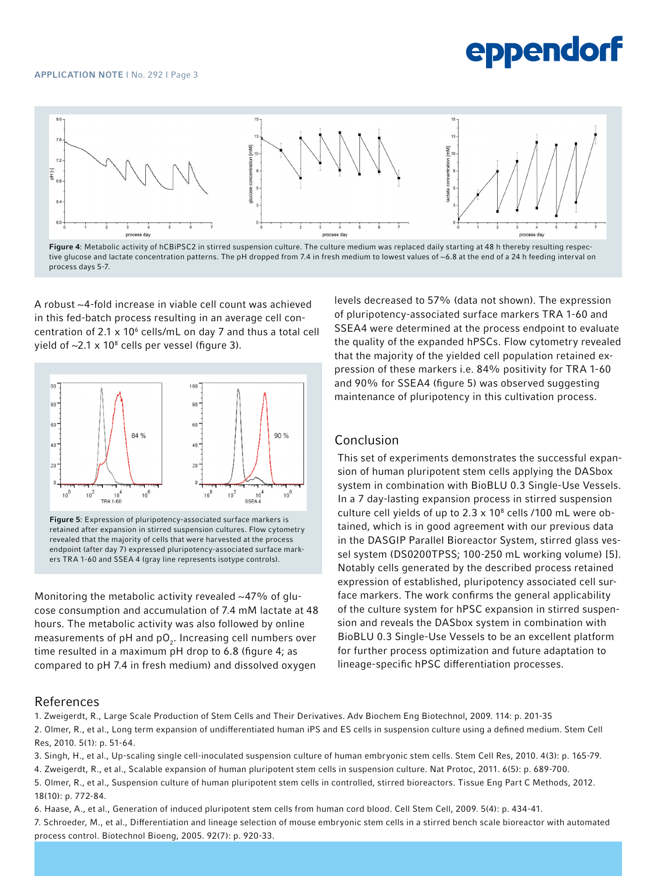## eppendorf



Figure 4: Metabolic activity of hCBiPSC2 in stirred suspension culture. The culture medium was replaced daily starting at 48 h thereby resulting respective glucose and lactate concentration patterns. The pH dropped from 7.4 in fresh medium to lowest values of ~6.8 at the end of a 24 h feeding interval on process days 5-7.

A robust ~4-fold increase in viable cell count was achieved in this fed-batch process resulting in an average cell concentration of 2.1  $\times$  10<sup>6</sup> cells/mL on day 7 and thus a total cell yield of  $\sim$ 2.1 x 10 $^{\rm 8}$  cells per vessel (figure 3).



Figure 5: Expression of pluripotency-associated surface markers is retained after expansion in stirred suspension cultures. Flow cytometry revealed that the majority of cells that were harvested at the process endpoint (after day 7) expressed pluripotency-associated surface markers TRA 1-60 and SSEA 4 (gray line represents isotype controls).

Monitoring the metabolic activity revealed  $\sim$ 47% of glucose consumption and accumulation of 7.4 mM lactate at 48 hours. The metabolic activity was also followed by online measurements of  $pH$  and  $pO<sub>2</sub>$ . Increasing cell numbers over time resulted in a maximum pH drop to 6.8 (figure 4; as compared to pH 7.4 in fresh medium) and dissolved oxygen

levels decreased to 57% (data not shown). The expression of pluripotency-associated surface markers TRA 1-60 and SSEA4 were determined at the process endpoint to evaluate the quality of the expanded hPSCs. Flow cytometry revealed that the majority of the yielded cell population retained expression of these markers i.e. 84% positivity for TRA 1-60 and 90% for SSEA4 (figure 5) was observed suggesting maintenance of pluripotency in this cultivation process.

#### Conclusion

This set of experiments demonstrates the successful expansion of human pluripotent stem cells applying the DASbox system in combination with BioBLU 0.3 Single-Use Vessels. In a 7 day-lasting expansion process in stirred suspension culture cell yields of up to 2.3  $\times$  10<sup>8</sup> cells /100 mL were obtained, which is in good agreement with our previous data in the DASGIP Parallel Bioreactor System, stirred glass vessel system (DS0200TPSS; 100-250 mL working volume) [5]. Notably cells generated by the described process retained expression of established, pluripotency associated cell surface markers. The work confirms the general applicability of the culture system for hPSC expansion in stirred suspension and reveals the DASbox system in combination with BioBLU 0.3 Single-Use Vessels to be an excellent platform for further process optimization and future adaptation to lineage-specific hPSC differentiation processes.

#### References

1. Zweigerdt, R., Large Scale Production of Stem Cells and Their Derivatives. Adv Biochem Eng Biotechnol, 2009. 114: p. 201-35 2. Olmer, R., et al., Long term expansion of undifferentiated human iPS and ES cells in suspension culture using a defined medium. Stem Cell Res, 2010. 5(1): p. 51-64.

3. Singh, H., et al., Up-scaling single cell-inoculated suspension culture of human embryonic stem cells. Stem Cell Res, 2010. 4(3): p. 165-79.

4. Zweigerdt, R., et al., Scalable expansion of human pluripotent stem cells in suspension culture. Nat Protoc, 2011. 6(5): p. 689-700.

5. Olmer, R., et al., Suspension culture of human pluripotent stem cells in controlled, stirred bioreactors. Tissue Eng Part C Methods, 2012. 18(10): p. 772-84.

6. Haase, A., et al., Generation of induced pluripotent stem cells from human cord blood. Cell Stem Cell, 2009. 5(4): p. 434-41.

7. Schroeder, M., et al., Differentiation and lineage selection of mouse embryonic stem cells in a stirred bench scale bioreactor with automated process control. Biotechnol Bioeng, 2005. 92(7): p. 920-33.